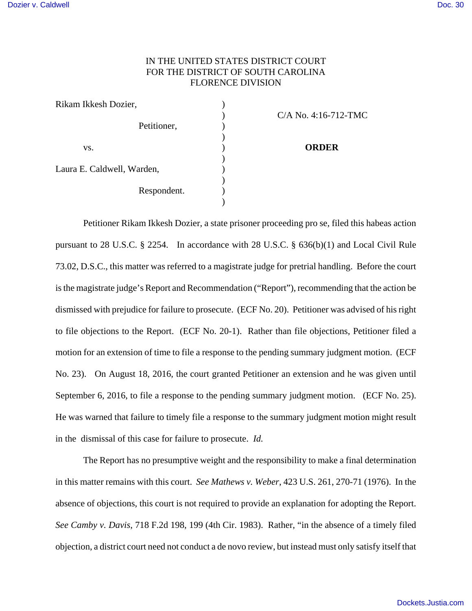## IN THE UNITED STATES DISTRICT COURT FOR THE DISTRICT OF SOUTH CAROLINA FLORENCE DIVISION

| Rikam Ikkesh Dozier,       |                        |
|----------------------------|------------------------|
|                            | $C/A$ No. 4:16-712-TMC |
| Petitioner,                |                        |
|                            |                        |
| VS.                        | <b>ORDER</b>           |
|                            |                        |
| Laura E. Caldwell, Warden, |                        |
|                            |                        |
| Respondent.                |                        |
|                            |                        |
|                            |                        |

Petitioner Rikam Ikkesh Dozier, a state prisoner proceeding pro se, filed this habeas action pursuant to 28 U.S.C. § 2254. In accordance with 28 U.S.C. § 636(b)(1) and Local Civil Rule 73.02, D.S.C., this matter was referred to a magistrate judge for pretrial handling. Before the court is the magistrate judge's Report and Recommendation ("Report"), recommending that the action be dismissed with prejudice for failure to prosecute. (ECF No. 20). Petitioner was advised of his right to file objections to the Report. (ECF No. 20-1). Rather than file objections, Petitioner filed a motion for an extension of time to file a response to the pending summary judgment motion. (ECF No. 23). On August 18, 2016, the court granted Petitioner an extension and he was given until September 6, 2016, to file a response to the pending summary judgment motion. (ECF No. 25). He was warned that failure to timely file a response to the summary judgment motion might result in the dismissal of this case for failure to prosecute. *Id.*

The Report has no presumptive weight and the responsibility to make a final determination in this matter remains with this court. *See Mathews v. Weber*, 423 U.S. 261, 270-71 (1976). In the absence of objections, this court is not required to provide an explanation for adopting the Report. *See Camby v. Davis*, 718 F.2d 198, 199 (4th Cir. 1983). Rather, "in the absence of a timely filed objection, a district court need not conduct a de novo review, but instead must only satisfy itself that